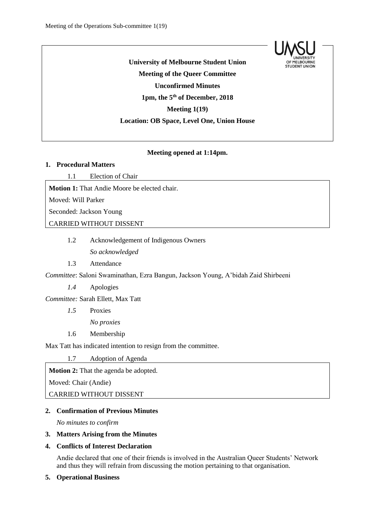

**University of Melbourne Student Union Meeting of the Queer Committee Unconfirmed Minutes 1pm, the 5 th of December, 2018 Meeting 1(19) Location: OB Space, Level One, Union House**

## **Meeting opened at 1:14pm.**

### **1. Procedural Matters**

1.1 Election of Chair

**Motion 1:** That Andie Moore be elected chair.

Moved: Will Parker

Seconded: Jackson Young

# CARRIED WITHOUT DISSENT

1.2 Acknowledgement of Indigenous Owners

*So acknowledged*

1.3 Attendance

*Committee*: Saloni Swaminathan, Ezra Bangun, Jackson Young, A'bidah Zaid Shirbeeni

*1.4* Apologies

*Committee:* Sarah Ellett, Max Tatt

*1.5* Proxies

*No proxies*

1.6 Membership

Max Tatt has indicated intention to resign from the committee.

1.7 Adoption of Agenda

**Motion 2:** That the agenda be adopted.

Moved: Chair (Andie)

CARRIED WITHOUT DISSENT

# **2. Confirmation of Previous Minutes**

*No minutes to confirm*

### **3. Matters Arising from the Minutes**

## **4. Conflicts of Interest Declaration**

Andie declared that one of their friends is involved in the Australian Queer Students' Network and thus they will refrain from discussing the motion pertaining to that organisation.

#### **5. Operational Business**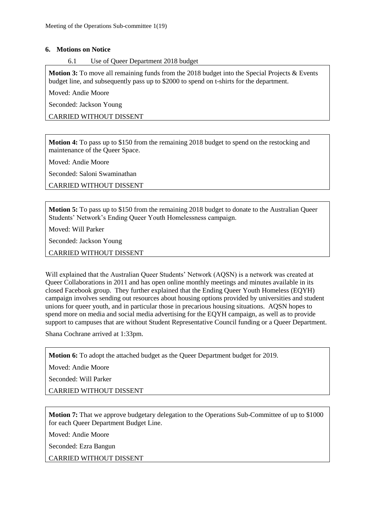### **6. Motions on Notice**

### 6.1 Use of Queer Department 2018 budget

**Motion 3:** To move all remaining funds from the 2018 budget into the Special Projects & Events budget line, and subsequently pass up to \$2000 to spend on t-shirts for the department.

Moved: Andie Moore

Seconded: Jackson Young

CARRIED WITHOUT DISSENT

**Motion 4:** To pass up to \$150 from the remaining 2018 budget to spend on the restocking and maintenance of the Queer Space.

Moved: Andie Moore

Seconded: Saloni Swaminathan

CARRIED WITHOUT DISSENT

**Motion 5:** To pass up to \$150 from the remaining 2018 budget to donate to the Australian Queer Students' Network's Ending Queer Youth Homelessness campaign.

Moved: Will Parker

Seconded: Jackson Young

CARRIED WITHOUT DISSENT

Will explained that the Australian Queer Students' Network (AOSN) is a network was created at Queer Collaborations in 2011 and has open online monthly meetings and minutes available in its closed Facebook group. They further explained that the Ending Queer Youth Homeless (EQYH) campaign involves sending out resources about housing options provided by universities and student unions for queer youth, and in particular those in precarious housing situations. AQSN hopes to spend more on media and social media advertising for the EQYH campaign, as well as to provide support to campuses that are without Student Representative Council funding or a Queer Department.

Shana Cochrane arrived at 1:33pm.

**Motion 6:** To adopt the attached budget as the Queer Department budget for 2019.

Moved: Andie Moore

Seconded: Will Parker

CARRIED WITHOUT DISSENT

**Motion 7:** That we approve budgetary delegation to the Operations Sub-Committee of up to \$1000 for each Queer Department Budget Line.

Moved: Andie Moore

Seconded: Ezra Bangun

CARRIED WITHOUT DISSENT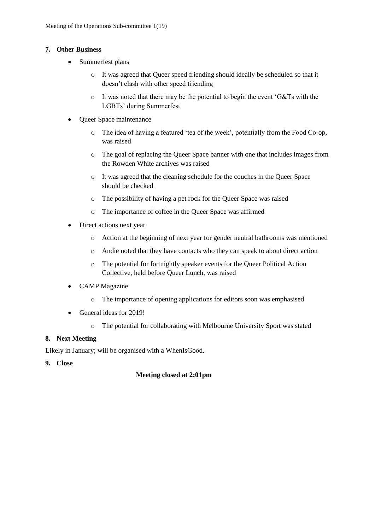## **7. Other Business**

- Summerfest plans
	- o It was agreed that Queer speed friending should ideally be scheduled so that it doesn't clash with other speed friending
	- o It was noted that there may be the potential to begin the event 'G&Ts with the LGBTs' during Summerfest
- Queer Space maintenance
	- o The idea of having a featured 'tea of the week', potentially from the Food Co-op, was raised
	- o The goal of replacing the Queer Space banner with one that includes images from the Rowden White archives was raised
	- o It was agreed that the cleaning schedule for the couches in the Queer Space should be checked
	- o The possibility of having a pet rock for the Queer Space was raised
	- o The importance of coffee in the Queer Space was affirmed
- Direct actions next year
	- o Action at the beginning of next year for gender neutral bathrooms was mentioned
	- o Andie noted that they have contacts who they can speak to about direct action
	- o The potential for fortnightly speaker events for the Queer Political Action Collective, held before Queer Lunch, was raised
- CAMP Magazine
	- o The importance of opening applications for editors soon was emphasised
- General ideas for 2019!
	- o The potential for collaborating with Melbourne University Sport was stated

# **8. Next Meeting**

Likely in January; will be organised with a WhenIsGood.

**9. Close**

# **Meeting closed at 2:01pm**